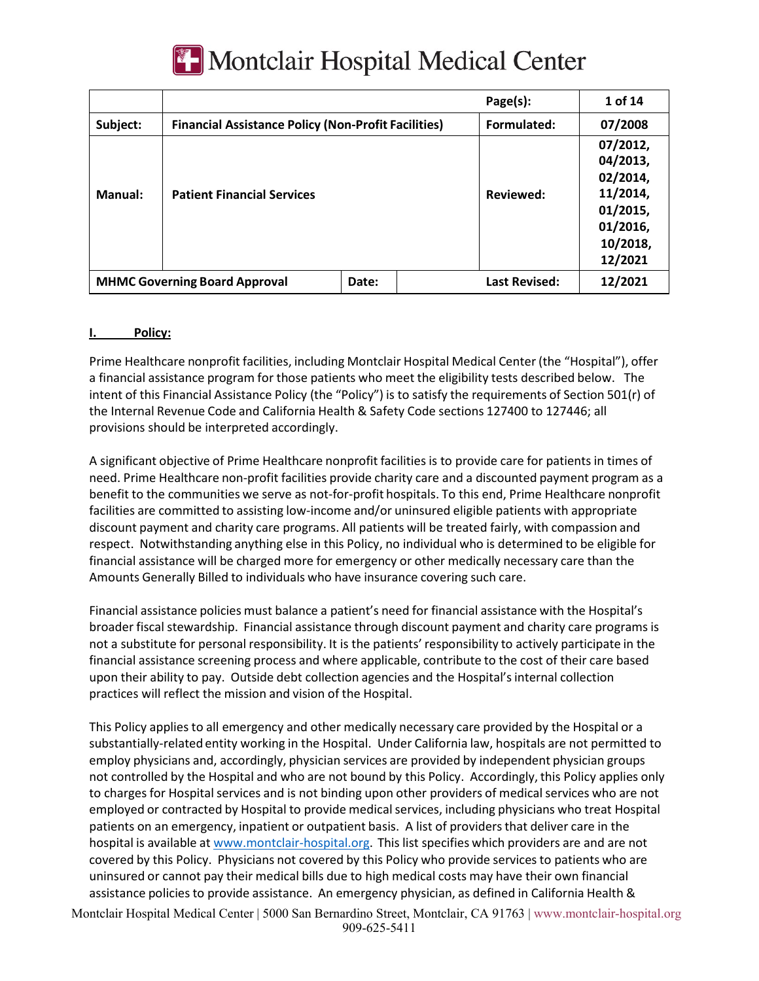

|                                      |                                                            |       | Page(s):             | 1 of 14                                                                                     |
|--------------------------------------|------------------------------------------------------------|-------|----------------------|---------------------------------------------------------------------------------------------|
| Subject:                             | <b>Financial Assistance Policy (Non-Profit Facilities)</b> |       | Formulated:          | 07/2008                                                                                     |
| Manual:                              | <b>Patient Financial Services</b>                          |       | Reviewed:            | 07/2012,<br>04/2013,<br>02/2014,<br>11/2014,<br>01/2015,<br>01/2016,<br>10/2018,<br>12/2021 |
| <b>MHMC Governing Board Approval</b> |                                                            | Date: | <b>Last Revised:</b> | 12/2021                                                                                     |

#### **I. Policy:**

Prime Healthcare nonprofit facilities, including Montclair Hospital Medical Center (the "Hospital"), offer a financial assistance program for those patients who meet the eligibility tests described below. The intent of this Financial Assistance Policy (the "Policy") is to satisfy the requirements of Section 501(r) of the Internal Revenue Code and California Health & Safety Code sections 127400 to 127446; all provisions should be interpreted accordingly.

A significant objective of Prime Healthcare nonprofit facilities is to provide care for patients in times of need. Prime Healthcare non-profit facilities provide charity care and a discounted payment program as a benefit to the communities we serve as not-for-profit hospitals. To this end, Prime Healthcare nonprofit facilities are committed to assisting low-income and/or uninsured eligible patients with appropriate discount payment and charity care programs. All patients will be treated fairly, with compassion and respect. Notwithstanding anything else in this Policy, no individual who is determined to be eligible for financial assistance will be charged more for emergency or other medically necessary care than the Amounts Generally Billed to individuals who have insurance covering such care.

Financial assistance policies must balance a patient's need for financial assistance with the Hospital's broader fiscal stewardship. Financial assistance through discount payment and charity care programs is not a substitute for personal responsibility. It is the patients' responsibility to actively participate in the financial assistance screening process and where applicable, contribute to the cost of their care based upon their ability to pay. Outside debt collection agencies and the Hospital's internal collection practices will reflect the mission and vision of the Hospital.

This Policy applies to all emergency and other medically necessary care provided by the Hospital or a substantially-related entity working in the Hospital. Under California law, hospitals are not permitted to employ physicians and, accordingly, physician services are provided by independent physician groups not controlled by the Hospital and who are not bound by this Policy. Accordingly, this Policy applies only to charges for Hospital services and is not binding upon other providers of medical services who are not employed or contracted by Hospital to provide medical services, including physicians who treat Hospital patients on an emergency, inpatient or outpatient basis. A list of providers that deliver care in the hospital is available at www.montclair-hospital.org. This list specifies which providers are and are not covered by this Policy. Physicians not covered by this Policy who provide services to patients who are uninsured or cannot pay their medical bills due to high medical costs may have their own financial assistance policies to provide assistance. An emergency physician, as defined in California Health &

Montclair Hospital Medical Center | 5000 San Bernardino Street, Montclair, CA 91763 | www.montclair-hospital.org 909-625-5411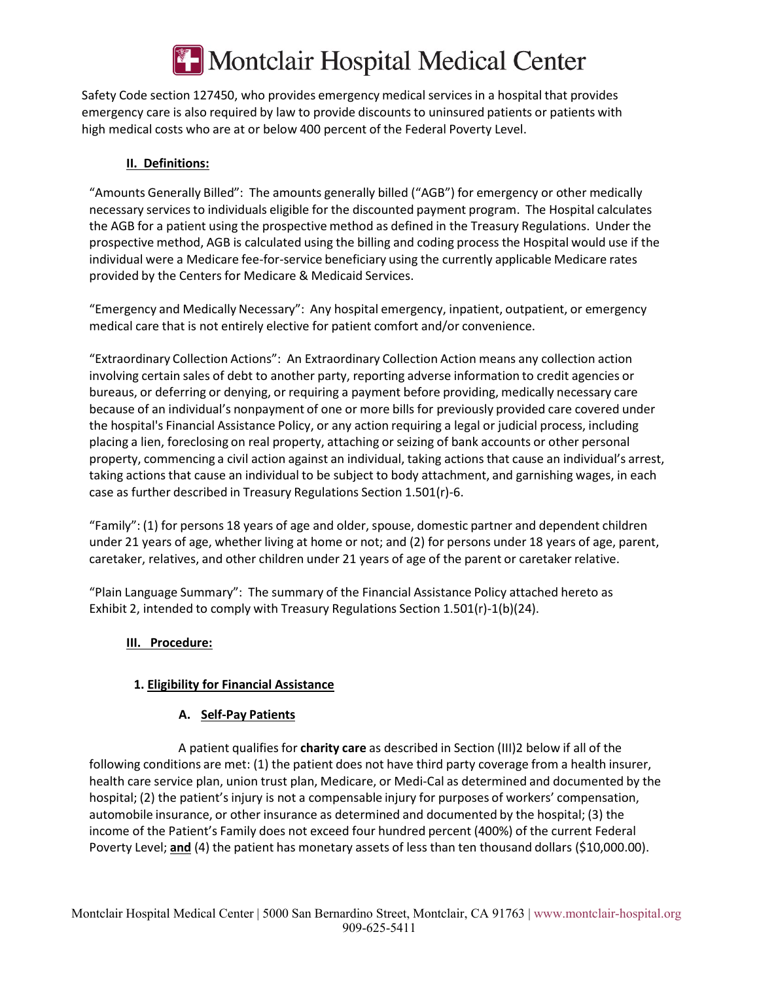

Safety Code section 127450, who provides emergency medical services in a hospital that provides emergency care is also required by law to provide discounts to uninsured patients or patients with high medical costs who are at or below 400 percent of the Federal Poverty Level.

#### **II. Definitions:**

"Amounts Generally Billed": The amounts generally billed ("AGB") for emergency or other medically necessary services to individuals eligible for the discounted payment program. The Hospital calculates the AGB for a patient using the prospective method as defined in the Treasury Regulations. Under the prospective method, AGB is calculated using the billing and coding process the Hospital would use if the individual were a Medicare fee-for-service beneficiary using the currently applicable Medicare rates provided by the Centers for Medicare & Medicaid Services.

"Emergency and Medically Necessary": Any hospital emergency, inpatient, outpatient, or emergency medical care that is not entirely elective for patient comfort and/or convenience.

"Extraordinary Collection Actions": An Extraordinary Collection Action means any collection action involving certain sales of debt to another party, reporting adverse information to credit agencies or bureaus, or deferring or denying, or requiring a payment before providing, medically necessary care because of an individual's nonpayment of one or more bills for previously provided care covered under the hospital's Financial Assistance Policy, or any action requiring a legal or judicial process, including placing a lien, foreclosing on real property, attaching or seizing of bank accounts or other personal property, commencing a civil action against an individual, taking actions that cause an individual's arrest, taking actions that cause an individual to be subject to body attachment, and garnishing wages, in each case as further described in Treasury Regulations Section 1.501(r)-6.

"Family": (1) for persons 18 years of age and older, spouse, domestic partner and dependent children under 21 years of age, whether living at home or not; and (2) for persons under 18 years of age, parent, caretaker, relatives, and other children under 21 years of age of the parent or caretaker relative.

"Plain Language Summary": The summary of the Financial Assistance Policy attached hereto as Exhibit 2, intended to comply with Treasury Regulations Section 1.501(r)-1(b)(24).

#### **III. Procedure:**

### **1. Eligibility for Financial Assistance**

#### **A. Self-Pay Patients**

A patient qualifies for **charity care** as described in Section (III)2 below if all of the following conditions are met: (1) the patient does not have third party coverage from a health insurer, health care service plan, union trust plan, Medicare, or Medi-Cal as determined and documented by the hospital; (2) the patient's injury is not a compensable injury for purposes of workers' compensation, automobile insurance, or other insurance as determined and documented by the hospital; (3) the income of the Patient's Family does not exceed four hundred percent (400%) of the current Federal Poverty Level; **and** (4) the patient has monetary assets of less than ten thousand dollars (\$10,000.00).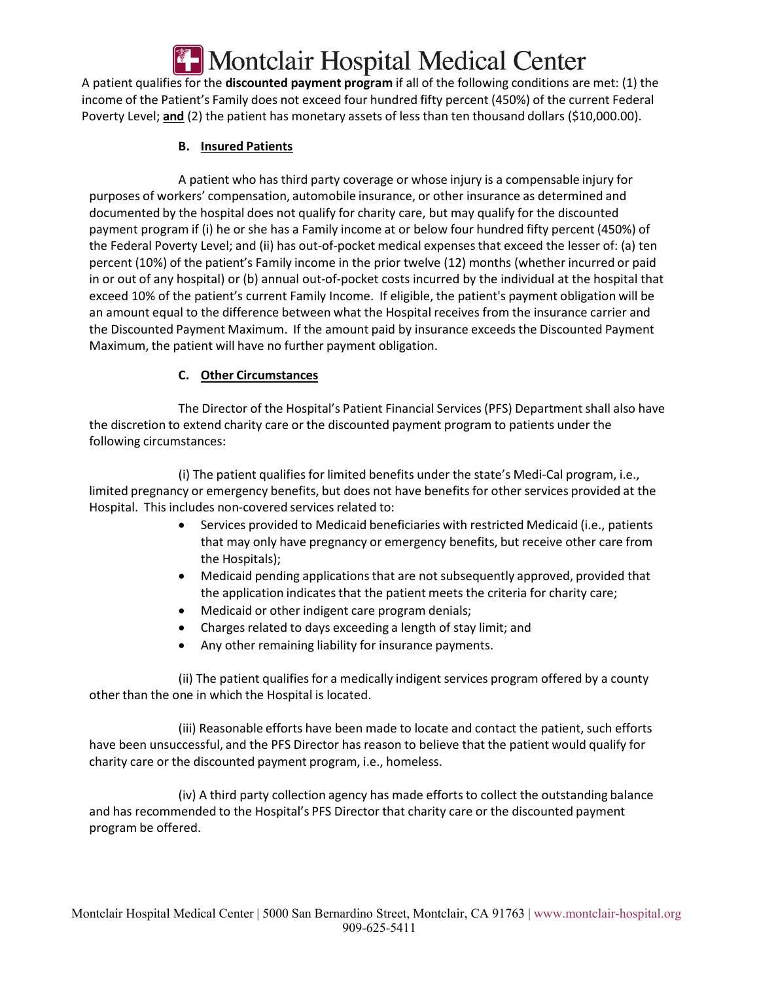# Montclair Hospital Medical Center

A patient qualifies for the **discounted payment program** if all of the following conditions are met: (1) the income of the Patient's Family does not exceed four hundred fifty percent (450%) of the current Federal Poverty Level; **and** (2) the patient has monetary assets of less than ten thousand dollars (\$10,000.00).

### **B. Insured Patients**

A patient who has third party coverage or whose injury is a compensable injury for purposes of workers' compensation, automobile insurance, or other insurance as determined and documented by the hospital does not qualify for charity care, but may qualify for the discounted payment program if (i) he or she has a Family income at or below four hundred fifty percent (450%) of the Federal Poverty Level; and (ii) has out-of-pocket medical expenses that exceed the lesser of: (a) ten percent (10%) of the patient's Family income in the prior twelve (12) months (whether incurred or paid in or out of any hospital) or (b) annual out-of-pocket costs incurred by the individual at the hospital that exceed 10% of the patient's current Family Income. If eligible, the patient's payment obligation will be an amount equal to the difference between what the Hospital receives from the insurance carrier and the Discounted Payment Maximum. If the amount paid by insurance exceeds the Discounted Payment Maximum, the patient will have no further payment obligation.

# **C. Other Circumstances**

The Director of the Hospital's Patient Financial Services (PFS) Department shall also have the discretion to extend charity care or the discounted payment program to patients under the following circumstances:

(i) The patient qualifies for limited benefits under the state's Medi-Cal program, i.e., limited pregnancy or emergency benefits, but does not have benefits for other services provided at the Hospital. This includes non-covered services related to:

- Services provided to Medicaid beneficiaries with restricted Medicaid (i.e., patients that may only have pregnancy or emergency benefits, but receive other care from the Hospitals);
- Medicaid pending applications that are not subsequently approved, provided that the application indicates that the patient meets the criteria for charity care;
- Medicaid or other indigent care program denials;
- Charges related to days exceeding a length of stay limit; and
- Any other remaining liability for insurance payments.

(ii) The patient qualifies for a medically indigent services program offered by a county other than the one in which the Hospital is located.

(iii) Reasonable efforts have been made to locate and contact the patient, such efforts have been unsuccessful, and the PFS Director has reason to believe that the patient would qualify for charity care or the discounted payment program, i.e., homeless.

(iv) A third party collection agency has made efforts to collect the outstanding balance and has recommended to the Hospital's PFS Director that charity care or the discounted payment program be offered.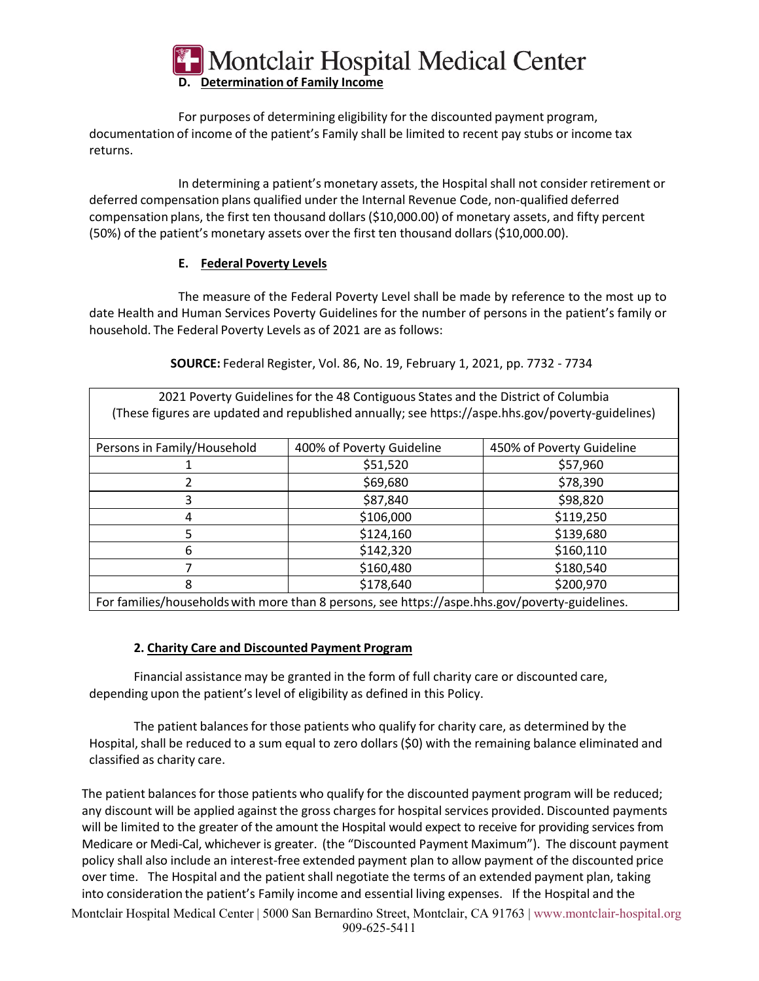

For purposes of determining eligibility for the discounted payment program, documentation of income of the patient's Family shall be limited to recent pay stubs or income tax returns.

In determining a patient's monetary assets, the Hospital shall not consider retirement or deferred compensation plans qualified under the Internal Revenue Code, non-qualified deferred compensation plans, the first ten thousand dollars (\$10,000.00) of monetary assets, and fifty percent (50%) of the patient's monetary assets over the first ten thousand dollars (\$10,000.00).

#### **E. Federal Poverty Levels**

The measure of the Federal Poverty Level shall be made by reference to the most up to date Health and Human Services Poverty Guidelines for the number of persons in the patient's family or household. The Federal Poverty Levels as of 2021 are as follows:

| 2021 Poverty Guidelines for the 48 Contiguous States and the District of Columbia<br>(These figures are updated and republished annually; see https://aspe.hhs.gov/poverty-guidelines) |                           |                           |  |  |  |  |
|----------------------------------------------------------------------------------------------------------------------------------------------------------------------------------------|---------------------------|---------------------------|--|--|--|--|
| Persons in Family/Household                                                                                                                                                            | 400% of Poverty Guideline | 450% of Poverty Guideline |  |  |  |  |
|                                                                                                                                                                                        | \$51,520                  | \$57,960                  |  |  |  |  |
| 2                                                                                                                                                                                      | \$69,680                  | \$78,390                  |  |  |  |  |
| 3                                                                                                                                                                                      | \$87,840                  | \$98,820                  |  |  |  |  |
| 4                                                                                                                                                                                      | \$106,000                 | \$119,250                 |  |  |  |  |
| 5                                                                                                                                                                                      | \$124,160                 | \$139,680                 |  |  |  |  |
| 6                                                                                                                                                                                      | \$142,320                 | \$160,110                 |  |  |  |  |
| 7                                                                                                                                                                                      | \$160,480                 | \$180,540                 |  |  |  |  |
| 8                                                                                                                                                                                      | \$178,640                 | \$200,970                 |  |  |  |  |
| For families/households with more than 8 persons, see https://aspe.hhs.gov/poverty-guidelines.                                                                                         |                           |                           |  |  |  |  |

**SOURCE:** Federal Register, Vol. 86, No. 19, February 1, 2021, pp. 7732 - 7734

# **2. Charity Care and Discounted Payment Program**

Financial assistance may be granted in the form of full charity care or discounted care, depending upon the patient's level of eligibility as defined in this Policy.

The patient balances for those patients who qualify for charity care, as determined by the Hospital, shall be reduced to a sum equal to zero dollars (\$0) with the remaining balance eliminated and classified as charity care.

The patient balances for those patients who qualify for the discounted payment program will be reduced; any discount will be applied against the gross charges for hospital services provided. Discounted payments will be limited to the greater of the amount the Hospital would expect to receive for providing services from Medicare or Medi-Cal, whichever is greater. (the "Discounted Payment Maximum"). The discount payment policy shall also include an interest-free extended payment plan to allow payment of the discounted price over time. The Hospital and the patient shall negotiate the terms of an extended payment plan, taking into consideration the patient's Family income and essential living expenses. If the Hospital and the

Montclair Hospital Medical Center | 5000 San Bernardino Street, Montclair, CA 91763 | www.montclair-hospital.org 909-625-5411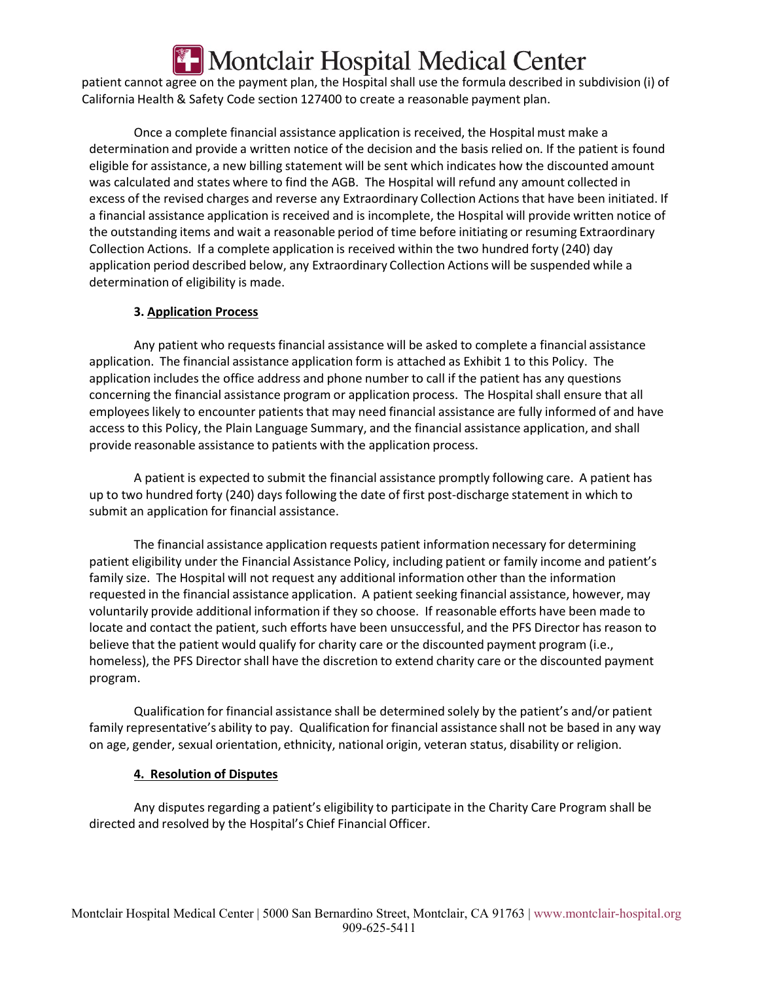# Montclair Hospital Medical Center

patient cannot agree on the payment plan, the Hospital shall use the formula described in subdivision (i) of California Health & Safety Code section 127400 to create a reasonable payment plan.

Once a complete financial assistance application is received, the Hospital must make a determination and provide a written notice of the decision and the basis relied on. If the patient is found eligible for assistance, a new billing statement will be sent which indicates how the discounted amount was calculated and states where to find the AGB. The Hospital will refund any amount collected in excess of the revised charges and reverse any Extraordinary Collection Actions that have been initiated. If a financial assistance application is received and is incomplete, the Hospital will provide written notice of the outstanding items and wait a reasonable period of time before initiating or resuming Extraordinary Collection Actions. If a complete application is received within the two hundred forty (240) day application period described below, any Extraordinary Collection Actions will be suspended while a determination of eligibility is made.

#### **3. Application Process**

Any patient who requests financial assistance will be asked to complete a financial assistance application. The financial assistance application form is attached as Exhibit 1 to this Policy. The application includes the office address and phone number to call if the patient has any questions concerning the financial assistance program or application process. The Hospital shall ensure that all employees likely to encounter patients that may need financial assistance are fully informed of and have access to this Policy, the Plain Language Summary, and the financial assistance application, and shall provide reasonable assistance to patients with the application process.

A patient is expected to submit the financial assistance promptly following care. A patient has up to two hundred forty (240) days following the date of first post-discharge statement in which to submit an application for financial assistance.

The financial assistance application requests patient information necessary for determining patient eligibility under the Financial Assistance Policy, including patient or family income and patient's family size. The Hospital will not request any additional information other than the information requested in the financial assistance application. A patient seeking financial assistance, however, may voluntarily provide additional information if they so choose. If reasonable efforts have been made to locate and contact the patient, such efforts have been unsuccessful, and the PFS Director has reason to believe that the patient would qualify for charity care or the discounted payment program (i.e., homeless), the PFS Director shall have the discretion to extend charity care or the discounted payment program.

Qualification for financial assistance shall be determined solely by the patient's and/or patient family representative's ability to pay. Qualification for financial assistance shall not be based in any way on age, gender, sexual orientation, ethnicity, national origin, veteran status, disability or religion.

#### **4. Resolution of Disputes**

Any disputes regarding a patient's eligibility to participate in the Charity Care Program shall be directed and resolved by the Hospital's Chief Financial Officer.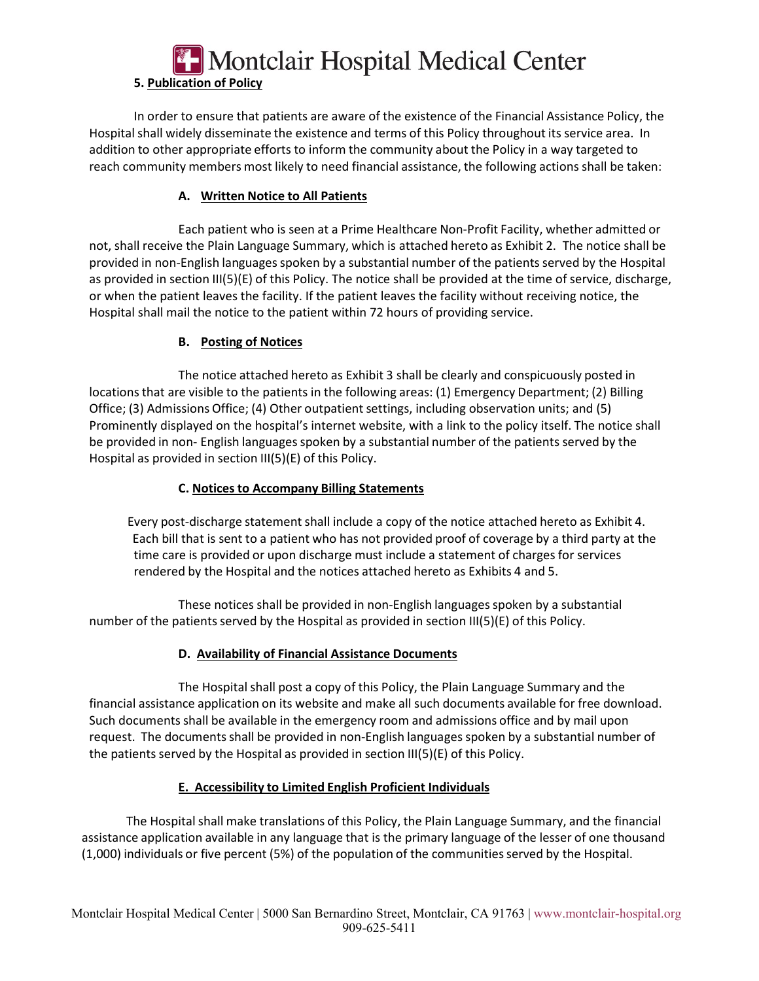# Montclair Hospital Medical Center **5. Publication of Policy**

In order to ensure that patients are aware of the existence of the Financial Assistance Policy, the Hospital shall widely disseminate the existence and terms of this Policy throughout its service area. In addition to other appropriate efforts to inform the community about the Policy in a way targeted to reach community members most likely to need financial assistance, the following actions shall be taken:

#### **A. Written Notice to All Patients**

Each patient who is seen at a Prime Healthcare Non-Profit Facility, whether admitted or not, shall receive the Plain Language Summary, which is attached hereto as Exhibit 2. The notice shall be provided in non-English languages spoken by a substantial number of the patients served by the Hospital as provided in section III(5)(E) of this Policy. The notice shall be provided at the time of service, discharge, or when the patient leaves the facility. If the patient leaves the facility without receiving notice, the Hospital shall mail the notice to the patient within 72 hours of providing service.

#### **B. Posting of Notices**

The notice attached hereto as Exhibit 3 shall be clearly and conspicuously posted in locations that are visible to the patients in the following areas: (1) Emergency Department; (2) Billing Office; (3) Admissions Office; (4) Other outpatient settings, including observation units; and (5) Prominently displayed on the hospital's internet website, with a link to the policy itself. The notice shall be provided in non- English languages spoken by a substantial number of the patients served by the Hospital as provided in section III(5)(E) of this Policy.

#### **C. Notices to Accompany Billing Statements**

 Every post-discharge statement shall include a copy of the notice attached hereto as Exhibit 4. Each bill that is sent to a patient who has not provided proof of coverage by a third party at the time care is provided or upon discharge must include a statement of charges for services rendered by the Hospital and the notices attached hereto as Exhibits 4 and 5.

These notices shall be provided in non-English languages spoken by a substantial number of the patients served by the Hospital as provided in section III(5)(E) of this Policy.

#### **D. Availability of Financial Assistance Documents**

The Hospital shall post a copy of this Policy, the Plain Language Summary and the financial assistance application on its website and make all such documents available for free download. Such documents shall be available in the emergency room and admissions office and by mail upon request. The documents shall be provided in non-English languages spoken by a substantial number of the patients served by the Hospital as provided in section  $III(5)(E)$  of this Policy.

#### **E. Accessibility to Limited English Proficient Individuals**

The Hospital shall make translations of this Policy, the Plain Language Summary, and the financial assistance application available in any language that is the primary language of the lesser of one thousand (1,000) individuals or five percent (5%) of the population of the communities served by the Hospital.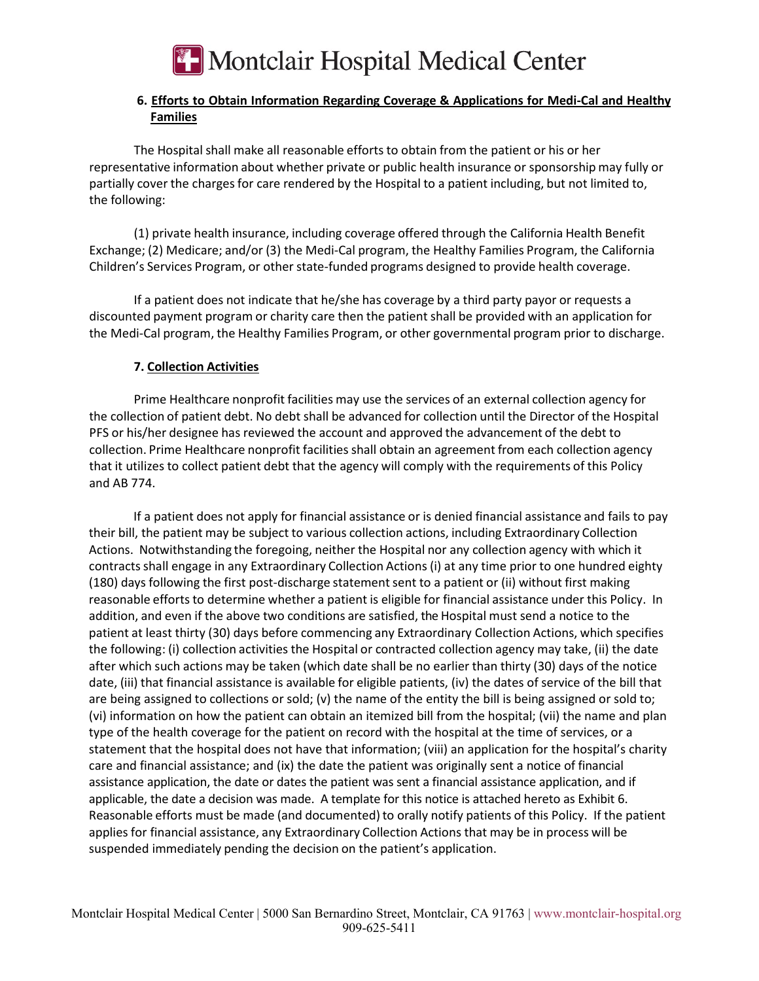

#### **6. Efforts to Obtain Information Regarding Coverage & Applications for Medi-Cal and Healthy Families**

The Hospital shall make all reasonable efforts to obtain from the patient or his or her representative information about whether private or public health insurance or sponsorship may fully or partially cover the charges for care rendered by the Hospital to a patient including, but not limited to, the following:

(1) private health insurance, including coverage offered through the California Health Benefit Exchange; (2) Medicare; and/or (3) the Medi-Cal program, the Healthy Families Program, the California Children's Services Program, or other state-funded programs designed to provide health coverage.

If a patient does not indicate that he/she has coverage by a third party payor or requests a discounted payment program or charity care then the patient shall be provided with an application for the Medi-Cal program, the Healthy Families Program, or other governmental program prior to discharge.

#### **7. Collection Activities**

Prime Healthcare nonprofit facilities may use the services of an external collection agency for the collection of patient debt. No debt shall be advanced for collection until the Director of the Hospital PFS or his/her designee has reviewed the account and approved the advancement of the debt to collection. Prime Healthcare nonprofit facilities shall obtain an agreement from each collection agency that it utilizes to collect patient debt that the agency will comply with the requirements of this Policy and AB 774.

If a patient does not apply for financial assistance or is denied financial assistance and fails to pay their bill, the patient may be subject to various collection actions, including Extraordinary Collection Actions. Notwithstanding the foregoing, neither the Hospital nor any collection agency with which it contracts shall engage in any Extraordinary Collection Actions (i) at any time prior to one hundred eighty (180) days following the first post-discharge statement sent to a patient or (ii) without first making reasonable efforts to determine whether a patient is eligible for financial assistance under this Policy. In addition, and even if the above two conditions are satisfied, the Hospital must send a notice to the patient at least thirty (30) days before commencing any Extraordinary Collection Actions, which specifies the following: (i) collection activities the Hospital or contracted collection agency may take, (ii) the date after which such actions may be taken (which date shall be no earlier than thirty (30) days of the notice date, (iii) that financial assistance is available for eligible patients, (iv) the dates of service of the bill that are being assigned to collections or sold; (v) the name of the entity the bill is being assigned or sold to; (vi) information on how the patient can obtain an itemized bill from the hospital; (vii) the name and plan type of the health coverage for the patient on record with the hospital at the time of services, or a statement that the hospital does not have that information; (viii) an application for the hospital's charity care and financial assistance; and (ix) the date the patient was originally sent a notice of financial assistance application, the date or dates the patient was sent a financial assistance application, and if applicable, the date a decision was made. A template for this notice is attached hereto as Exhibit 6. Reasonable efforts must be made (and documented) to orally notify patients of this Policy. If the patient applies for financial assistance, any Extraordinary Collection Actions that may be in process will be suspended immediately pending the decision on the patient's application.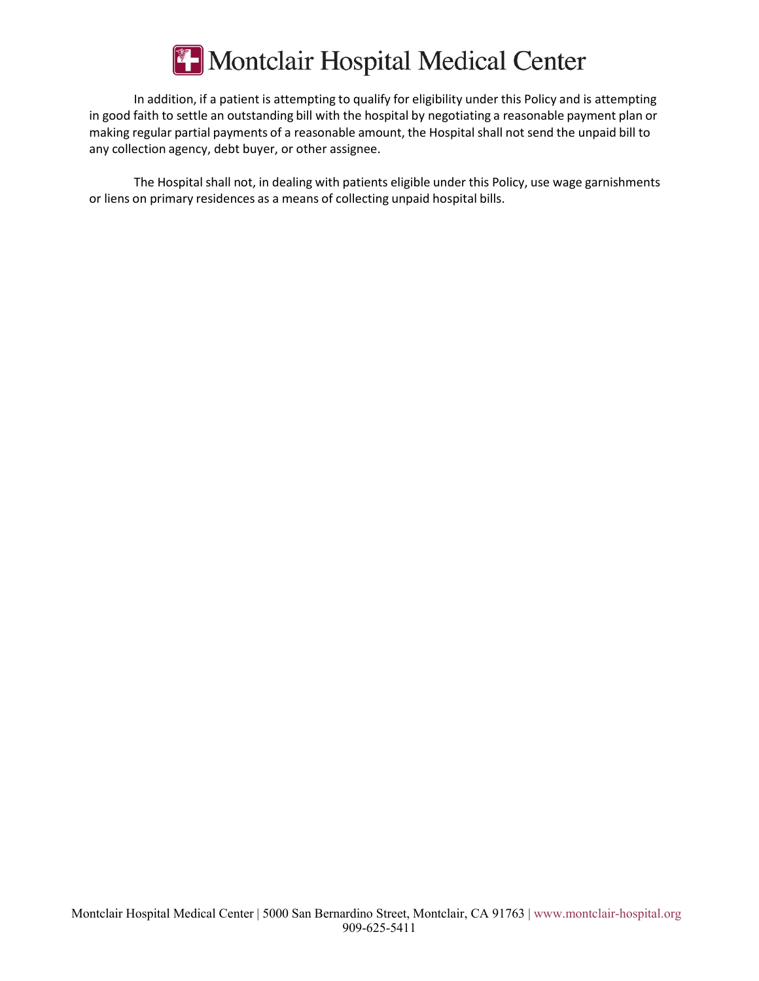

In addition, if a patient is attempting to qualify for eligibility under this Policy and is attempting in good faith to settle an outstanding bill with the hospital by negotiating a reasonable payment plan or making regular partial payments of a reasonable amount, the Hospital shall not send the unpaid bill to any collection agency, debt buyer, or other assignee.

The Hospital shall not, in dealing with patients eligible under this Policy, use wage garnishments or liens on primary residences as a means of collecting unpaid hospital bills.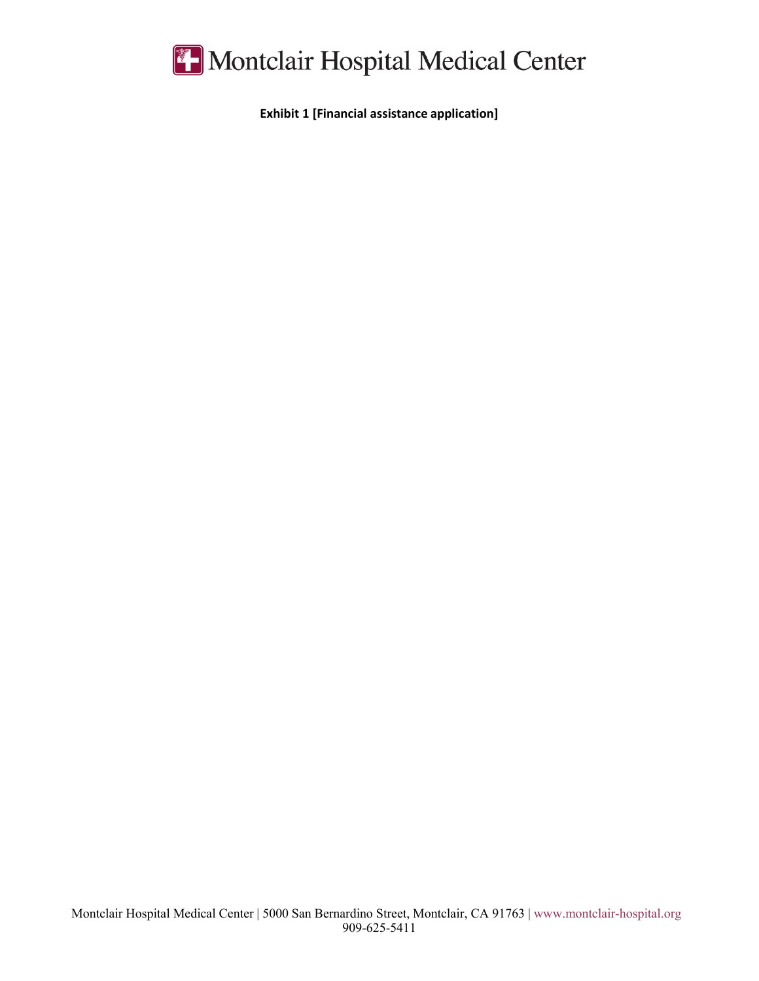

**Exhibit 1 [Financial assistance application]**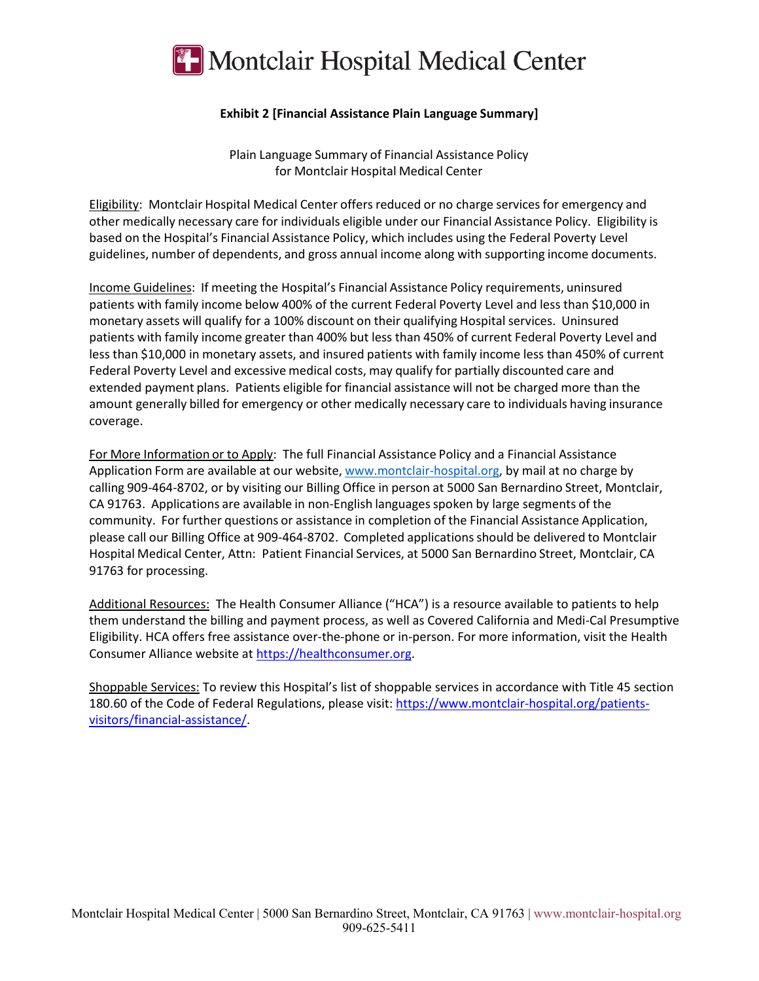

#### **Exhibit 2 [Financial Assistance Plain Language Summary]**

Plain Language Summary of Financial Assistance Policy for Montclair Hospital Medical Center

Eligibility: Montclair Hospital Medical Center offers reduced or no charge services for emergency and other medically necessary care for individuals eligible under our Financial Assistance Policy. Eligibility is based on the Hospital's Financial Assistance Policy, which includes using the Federal Poverty Level guidelines, number of dependents, and gross annual income along with supporting income documents.

Income Guidelines: If meeting the Hospital's Financial Assistance Policy requirements, uninsured patients with family income below 400% of the current Federal Poverty Level and less than \$10,000 in monetary assets will qualify for a 100% discount on their qualifying Hospital services. Uninsured patients with family income greater than 400% but less than 450% of current Federal Poverty Level and less than \$10,000 in monetary assets, and insured patients with family income less than 450% of current Federal Poverty Level and excessive medical costs, may qualify for partially discounted care and extended payment plans. Patients eligible for financial assistance will not be charged more than the amount generally billed for emergency or other medically necessary care to individuals having insurance coverage.

For More Information or to Apply: The full Financial Assistance Policy and a Financial Assistance Application Form are available at our website, www.montclair-hospital.org, by mail at no charge by calling 909-464-8702, or by visiting our Billing Office in person at 5000 San Bernardino Street, Montclair, CA 91763. Applications are available in non-English languages spoken by large segments of the community. For further questions or assistance in completion of the Financial Assistance Application, please call our Billing Office at 909-464-8702. Completed applications should be delivered to Montclair Hospital Medical Center, Attn: Patient Financial Services, at 5000 San Bernardino Street, Montclair, CA 91763 for processing.

Additional Resources: The Health Consumer Alliance ("HCA") is a resource available to patients to help them understand the billing and payment process, as well as Covered California and Medi-Cal Presumptive Eligibility. HCA offers free assistance over-the-phone or in-person. For more information, visit the Health Consumer Alliance website at https://healthconsumer.org.

Shoppable Services: To review this Hospital's list of shoppable services in accordance with Title 45 section 180.60 of the Code of Federal Regulations, please visit: https://www.montclair-hospital.org/patientsvisitors/financial-assistance/.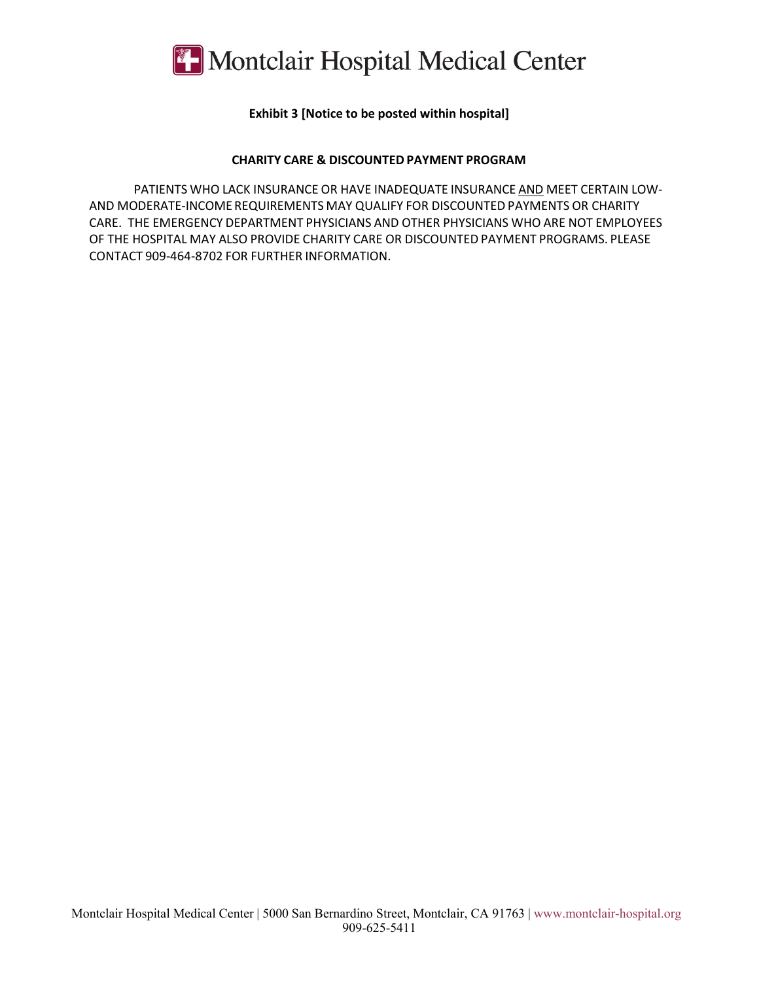

#### **Exhibit 3 [Notice to be posted within hospital]**

#### **CHARITY CARE & DISCOUNTED PAYMENT PROGRAM**

PATIENTS WHO LACK INSURANCE OR HAVE INADEQUATE INSURANCE AND MEET CERTAIN LOW-AND MODERATE-INCOME REQUIREMENTS MAY QUALIFY FOR DISCOUNTED PAYMENTS OR CHARITY CARE. THE EMERGENCY DEPARTMENT PHYSICIANS AND OTHER PHYSICIANS WHO ARE NOT EMPLOYEES OF THE HOSPITAL MAY ALSO PROVIDE CHARITY CARE OR DISCOUNTED PAYMENT PROGRAMS. PLEASE CONTACT 909-464-8702 FOR FURTHER INFORMATION.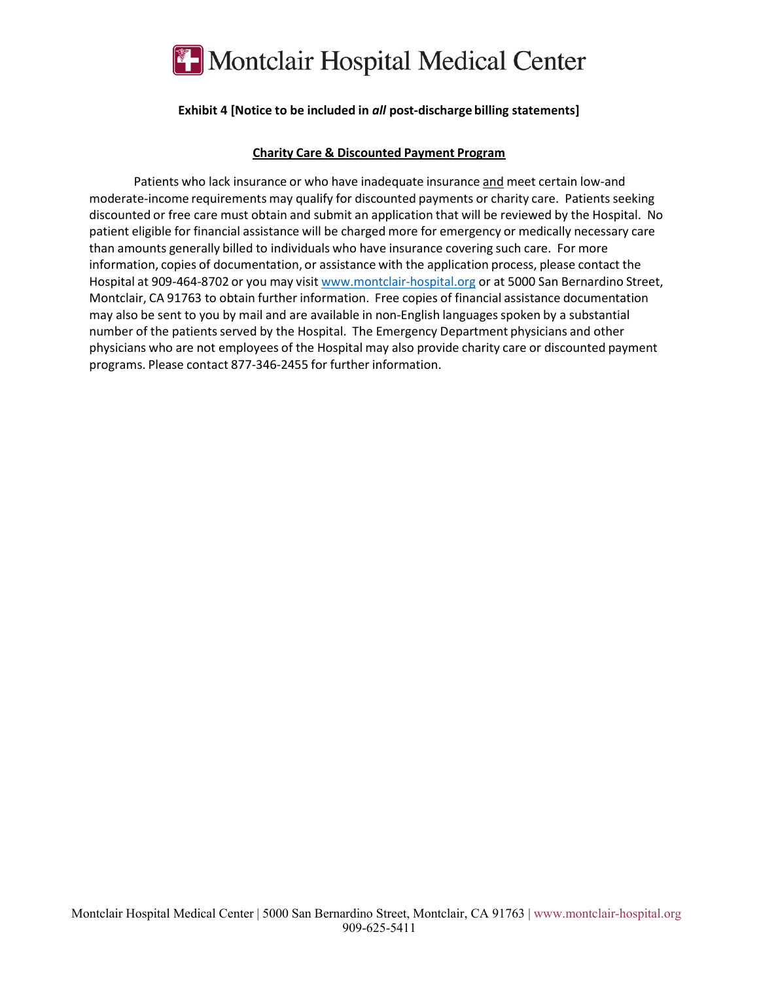

#### **Exhibit 4 [Notice to be included in** *all* **post-discharge billing statements]**

#### **Charity Care & Discounted Payment Program**

Patients who lack insurance or who have inadequate insurance and meet certain low-and moderate-income requirements may qualify for discounted payments or charity care. Patients seeking discounted or free care must obtain and submit an application that will be reviewed by the Hospital. No patient eligible for financial assistance will be charged more for emergency or medically necessary care than amounts generally billed to individuals who have insurance covering such care. For more information, copies of documentation, or assistance with the application process, please contact the Hospital at 909-464-8702 or you may visit www.montclair-hospital.org or at 5000 San Bernardino Street, Montclair, CA 91763 to obtain further information. Free copies of financial assistance documentation may also be sent to you by mail and are available in non-English languages spoken by a substantial number of the patients served by the Hospital. The Emergency Department physicians and other physicians who are not employees of the Hospital may also provide charity care or discounted payment programs. Please contact 877-346-2455 for further information.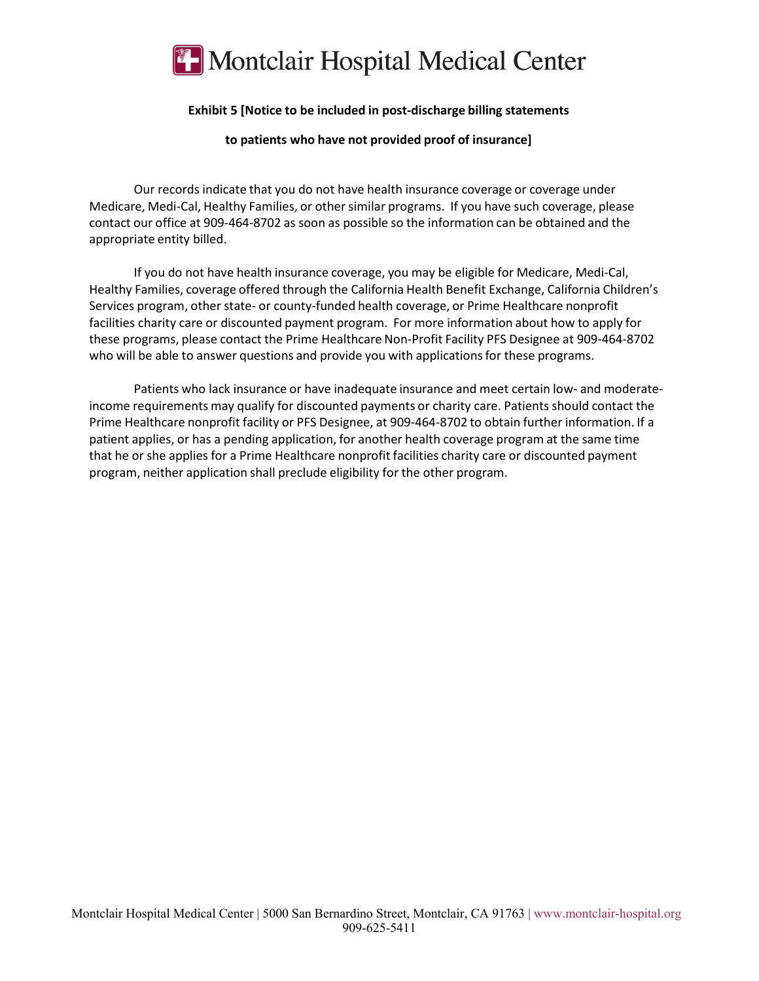

#### **Exhibit 5 [Notice to be included in post-discharge billing statements**

**to patients who have not provided proof of insurance]**

Our records indicate that you do not have health insurance coverage or coverage under Medicare, Medi-Cal, Healthy Families, or other similar programs. If you have such coverage, please contact our office at 909-464-8702 as soon as possible so the information can be obtained and the appropriate entity billed.

If you do not have health insurance coverage, you may be eligible for Medicare, Medi-Cal, Healthy Families, coverage offered through the California Health Benefit Exchange, California Children's Services program, other state- or county-funded health coverage, or Prime Healthcare nonprofit facilities charity care or discounted payment program. For more information about how to apply for these programs, please contact the Prime Healthcare Non-Profit Facility PFS Designee at 909-464-8702 who will be able to answer questions and provide you with applications for these programs.

Patients who lack insurance or have inadequate insurance and meet certain low- and moderateincome requirements may qualify for discounted payments or charity care. Patients should contact the Prime Healthcare nonprofit facility or PFS Designee, at 909-464-8702 to obtain further information. If a patient applies, or has a pending application, for another health coverage program at the same time that he or she applies for a Prime Healthcare nonprofit facilities charity care or discounted payment program, neither application shall preclude eligibility for the other program.